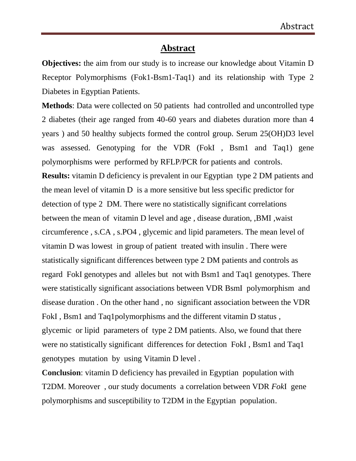## **Abstract**

**Objectives:** the aim from our study is to increase our knowledge about Vitamin D Receptor Polymorphisms (Fok1-Bsm1-Taq1) and its relationship with Type 2 Diabetes in Egyptian Patients.

**Methods**: Data were collected on 50 patients had controlled and uncontrolled type 2 diabetes (their age ranged from 40-60 years and diabetes duration more than 4 years ) and 50 healthy subjects formed the control group. Serum 25(OH)D3 level was assessed. Genotyping for the VDR (FokI , Bsm1 and Taq1) gene polymorphisms were performed by RFLP/PCR for patients and controls. **Results:** vitamin D deficiency is prevalent in our Egyptian type 2 DM patients and the mean level of vitamin D is a more sensitive but less specific predictor for detection of type 2 DM. There were no statistically significant correlations between the mean of vitamin D level and age , disease duration, ,BMI ,waist circumference , s.CA , s.PO4 , glycemic and lipid parameters. The mean level of vitamin D was lowest in group of patient treated with insulin . There were statistically significant differences between type 2 DM patients and controls as regard FokI genotypes and alleles but not with Bsm1 and Taq1 genotypes. There were statistically significant associations between VDR BsmI polymorphism and disease duration . On the other hand , no significant association between the VDR FokI , Bsm1 and Taq1polymorphisms and the different vitamin D status , glycemic or lipid parameters of type 2 DM patients. Also, we found that there were no statistically significant differences for detection FokI , Bsm1 and Taq1 genotypes mutation by using Vitamin D level .

**Conclusion**: vitamin D deficiency has prevailed in Egyptian population with T2DM. Moreover , our study documents a correlation between VDR *Fok*I gene polymorphisms and susceptibility to T2DM in the Egyptian population.